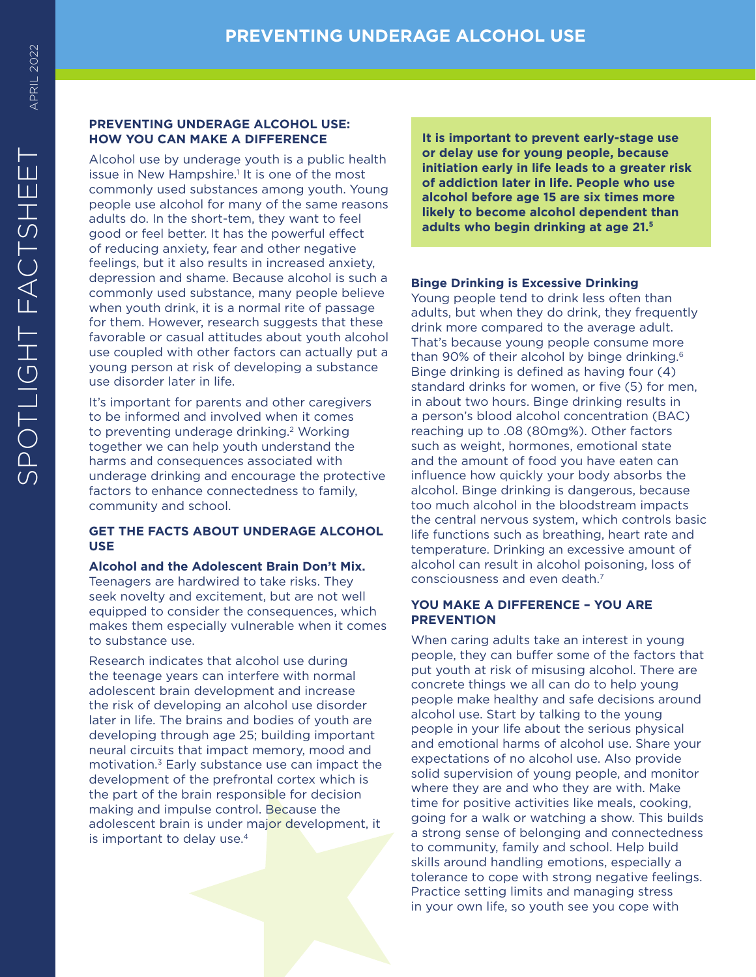# **PREVENTING UNDERAGE ALCOHOL USE: HOW YOU CAN MAKE A DIFFERENCE**

Alcohol use by underage youth is a public health issue in New Hampshire.<sup>1</sup> It is one of the most commonly used substances among youth. Young people use alcohol for many of the same reasons adults do. In the short-tem, they want to feel good or feel better. It has the powerful effect of reducing anxiety, fear and other negative feelings, but it also results in increased anxiety, depression and shame. Because alcohol is such a commonly used substance, many people believe when youth drink, it is a normal rite of passage for them. However, research suggests that these favorable or casual attitudes about youth alcohol use coupled with other factors can actually put a young person at risk of developing a substance use disorder later in life.

It's important for parents and other caregivers to be informed and involved when it comes to preventing underage drinking. 2 Working together we can help youth understand the harms and consequences associated with underage drinking and encourage the protective factors to enhance connectedness to family, community and school.

# **GET THE FACTS ABOUT UNDERAGE ALCOHOL USE**

**Alcohol and the Adolescent Brain Don't Mix.**  Teenagers are hardwired to take risks. They seek novelty and excitement, but are not well equipped to consider the consequences, which makes them especially vulnerable when it comes to substance use.

Research indicates that alcohol use during the teenage years can interfere with normal adolescent brain development and increase the risk of developing an alcohol use disorder later in life. The brains and bodies of youth are developing through age 25; building important neural circuits that impact memory, mood and motivation. 3 Early substance use can impact the development of the prefrontal cortex which is the part of the brain responsible for decision making and impulse control. Because the adolescent brain is under major development, it is important to delay use. 4

**It is important to prevent early-stage use or delay use for young people, because initiation early in life leads to a greater risk of addiction later in life. People who use alcohol before age 15 are six times more likely to become alcohol dependent than adults who begin drinking at age 21. 5**

# **Binge Drinking is Excessive Drinking**

Young people tend to drink less often than adults, but when they do drink, they frequently drink more compared to the average adult. That's because young people consume more than 90% of their alcohol by binge drinking. 6 Binge drinking is defined as having four (4) standard drinks for women, or five (5) for men, in about two hours. Binge drinking results in a person's blood alcohol concentration (BAC) reaching up to .08 (80mg%). Other factors such as weight, hormones, emotional state and the amount of food you have eaten can influence how quickly your body absorbs the alcohol. Binge drinking is dangerous, because too much alcohol in the bloodstream impacts the central nervous system, which controls basic life functions such as breathing, heart rate and temperature. Drinking an excessive amount of alcohol can result in alcohol poisoning, loss of consciousness and even death. 7

# **YOU MAKE A DIFFERENCE – YOU ARE PREVENTION**

When caring adults take an interest in young people, they can buffer some of the factors that put youth at risk of misusing alcohol. There are concrete things we all can do to help young people make healthy and safe decisions around alcohol use. Start by talking to the young people in your life about the serious physical and emotional harms of alcohol use. Share your expectations of no alcohol use. Also provide solid supervision of young people, and monitor where they are and who they are with. Make time for positive activities like meals, cooking, going for a walk or watching a show. This builds a strong sense of belonging and connectedness to community, family and school. Help build skills around handling emotions, especially a tolerance to cope with strong negative feelings. Practice setting limits and managing stress in your own life, so youth see you cope with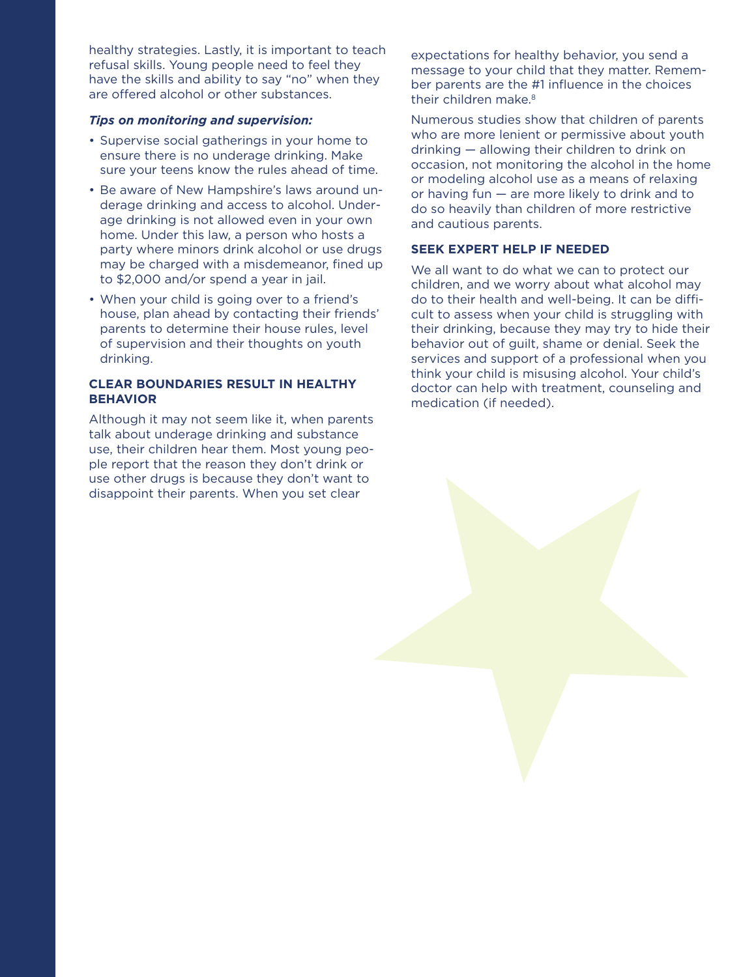healthy strategies. Lastly, it is important to teach refusal skills. Young people need to feel they have the skills and ability to say "no" when they are offered alcohol or other substances.

### *Tips on monitoring and supervision:*

- Supervise social gatherings in your home to ensure there is no underage drinking. Make sure your teens know the rules ahead of time.
- Be aware of New Hampshire's laws around underage drinking and access to alcohol. Underage drinking is not allowed even in your own home. Under this law, a person who hosts a party where minors drink alcohol or use drugs may be charged with a misdemeanor, fined up to \$2,000 and/or spend a year in jail.
- When your child is going over to a friend's house, plan ahead by contacting their friends' parents to determine their house rules, level of supervision and their thoughts on youth drinking.

## **CLEAR BOUNDARIES RESULT IN HEALTHY BEHAVIOR**

Although it may not seem like it, when parents talk about underage drinking and substance use, their children hear them. Most young people report that the reason they don't drink or use other drugs is because they don't want to disappoint their parents. When you set clear

expectations for healthy behavior, you send a message to your child that they matter. Remember parents are the #1 influence in the choices their children make.<sup>8</sup>

Numerous studies show that children of parents who are more lenient or permissive about youth drinking — allowing their children to drink on occasion, not monitoring the alcohol in the home or modeling alcohol use as a means of relaxing or having fun — are more likely to drink and to do so heavily than children of more restrictive and cautious parents.

## **SEEK EXPERT HELP IF NEEDED**

We all want to do what we can to protect our children, and we worry about what alcohol may do to their health and well-being. It can be difficult to assess when your child is struggling with their drinking, because they may try to hide their behavior out of guilt, shame or denial. Seek the services and support of a professional when you think your child is misusing alcohol. Your child's doctor can help with treatment, counseling and medication (if needed).